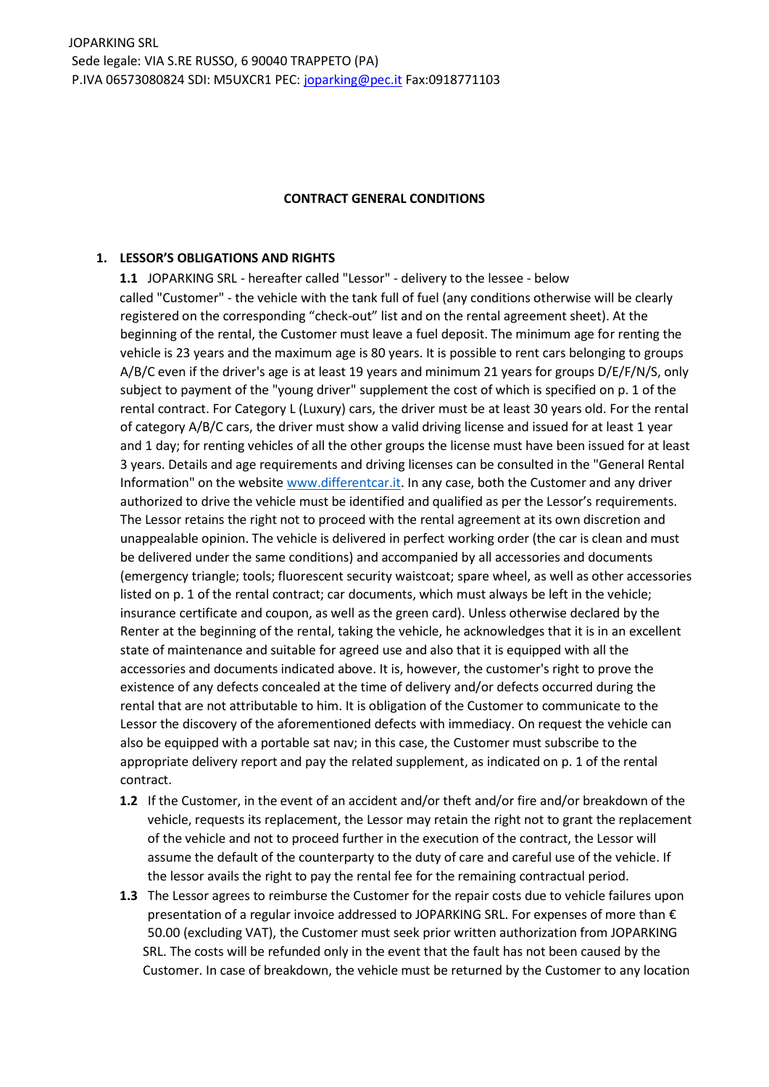#### **CONTRACT GENERAL CONDITIONS**

#### **1. LESSOR'S OBLIGATIONS AND RIGHTS**

**1.1** JOPARKING SRL - hereafter called "Lessor" - delivery to the lessee - below called "Customer" - the vehicle with the tank full of fuel (any conditions otherwise will be clearly registered on the corresponding "check-out" list and on the rental agreement sheet). At the beginning of the rental, the Customer must leave a fuel deposit. The minimum age for renting the vehicle is 23 years and the maximum age is 80 years. It is possible to rent cars belonging to groups A/B/C even if the driver's age is at least 19 years and minimum 21 years for groups D/E/F/N/S, only subject to payment of the "young driver" supplement the cost of which is specified on p. 1 of the rental contract. For Category L (Luxury) cars, the driver must be at least 30 years old. For the rental of category A/B/C cars, the driver must show a valid driving license and issued for at least 1 year and 1 day; for renting vehicles of all the other groups the license must have been issued for at least 3 years. Details and age requirements and driving licenses can be consulted in the "General Rental Information" on the website www.differentcar.it. In any case, both the Customer and any driver authorized to drive the vehicle must be identified and qualified as per the Lessor's requirements. The Lessor retains the right not to proceed with the rental agreement at its own discretion and unappealable opinion. The vehicle is delivered in perfect working order (the car is clean and must be delivered under the same conditions) and accompanied by all accessories and documents (emergency triangle; tools; fluorescent security waistcoat; spare wheel, as well as other accessories listed on p. 1 of the rental contract; car documents, which must always be left in the vehicle; insurance certificate and coupon, as well as the green card). Unless otherwise declared by the Renter at the beginning of the rental, taking the vehicle, he acknowledges that it is in an excellent state of maintenance and suitable for agreed use and also that it is equipped with all the accessories and documents indicated above. It is, however, the customer's right to prove the existence of any defects concealed at the time of delivery and/or defects occurred during the rental that are not attributable to him. It is obligation of the Customer to communicate to the Lessor the discovery of the aforementioned defects with immediacy. On request the vehicle can also be equipped with a portable sat nav; in this case, the Customer must subscribe to the appropriate delivery report and pay the related supplement, as indicated on p. 1 of the rental contract.

- **1.2** If the Customer, in the event of an accident and/or theft and/or fire and/or breakdown of the vehicle, requests its replacement, the Lessor may retain the right not to grant the replacement of the vehicle and not to proceed further in the execution of the contract, the Lessor will assume the default of the counterparty to the duty of care and careful use of the vehicle. If the lessor avails the right to pay the rental fee for the remaining contractual period.
- **1.3** The Lessor agrees to reimburse the Customer for the repair costs due to vehicle failures upon presentation of a regular invoice addressed to JOPARKING SRL. For expenses of more than € 50.00 (excluding VAT), the Customer must seek prior written authorization from JOPARKING SRL. The costs will be refunded only in the event that the fault has not been caused by the Customer. In case of breakdown, the vehicle must be returned by the Customer to any location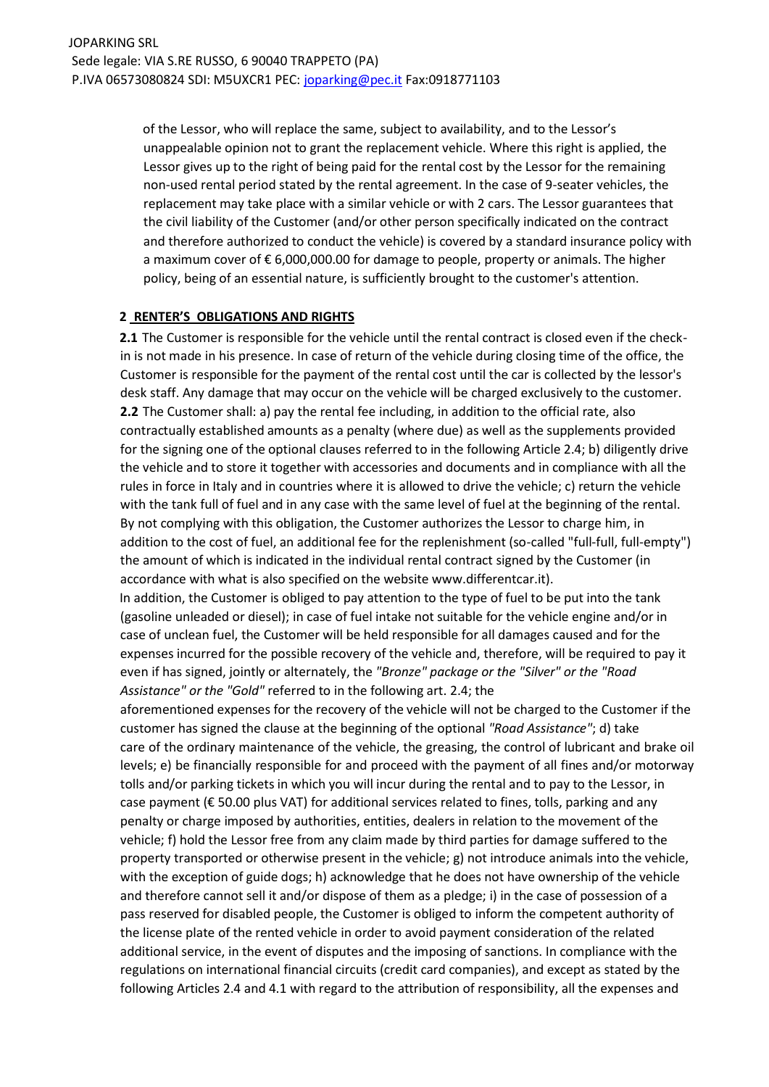of the Lessor, who will replace the same, subject to availability, and to the Lessor's unappealable opinion not to grant the replacement vehicle. Where this right is applied, the Lessor gives up to the right of being paid for the rental cost by the Lessor for the remaining non-used rental period stated by the rental agreement. In the case of 9-seater vehicles, the replacement may take place with a similar vehicle or with 2 cars. The Lessor guarantees that the civil liability of the Customer (and/or other person specifically indicated on the contract and therefore authorized to conduct the vehicle) is covered by a standard insurance policy with a maximum cover of € 6,000,000.00 for damage to people, property or animals. The higher policy, being of an essential nature, is sufficiently brought to the customer's attention.

#### **2 RENTER'S OBLIGATIONS AND RIGHTS**

**2.1** The Customer is responsible for the vehicle until the rental contract is closed even if the checkin is not made in his presence. In case of return of the vehicle during closing time of the office, the Customer is responsible for the payment of the rental cost until the car is collected by the lessor's desk staff. Any damage that may occur on the vehicle will be charged exclusively to the customer. **2.2** The Customer shall: a) pay the rental fee including, in addition to the official rate, also contractually established amounts as a penalty (where due) as well as the supplements provided for the signing one of the optional clauses referred to in the following Article 2.4; b) diligently drive the vehicle and to store it together with accessories and documents and in compliance with all the rules in force in Italy and in countries where it is allowed to drive the vehicle; c) return the vehicle with the tank full of fuel and in any case with the same level of fuel at the beginning of the rental. By not complying with this obligation, the Customer authorizes the Lessor to charge him, in addition to the cost of fuel, an additional fee for the replenishment (so-called "full-full, full-empty") the amount of which is indicated in the individual rental contract signed by the Customer (in accordance with what is also specified on the website www.differentcar.it).

In addition, the Customer is obliged to pay attention to the type of fuel to be put into the tank (gasoline unleaded or diesel); in case of fuel intake not suitable for the vehicle engine and/or in case of unclean fuel, the Customer will be held responsible for all damages caused and for the expenses incurred for the possible recovery of the vehicle and, therefore, will be required to pay it even if has signed, jointly or alternately, the *"Bronze" package or the "Silver" or the "Road Assistance" or the "Gold"* referred to in the following art. 2.4; the

aforementioned expenses for the recovery of the vehicle will not be charged to the Customer if the customer has signed the clause at the beginning of the optional *"Road Assistance"*; d) take care of the ordinary maintenance of the vehicle, the greasing, the control of lubricant and brake oil levels; e) be financially responsible for and proceed with the payment of all fines and/or motorway tolls and/or parking tickets in which you will incur during the rental and to pay to the Lessor, in case payment (€ 50.00 plus VAT) for additional services related to fines, tolls, parking and any penalty or charge imposed by authorities, entities, dealers in relation to the movement of the vehicle; f) hold the Lessor free from any claim made by third parties for damage suffered to the property transported or otherwise present in the vehicle; g) not introduce animals into the vehicle, with the exception of guide dogs; h) acknowledge that he does not have ownership of the vehicle and therefore cannot sell it and/or dispose of them as a pledge; i) in the case of possession of a pass reserved for disabled people, the Customer is obliged to inform the competent authority of the license plate of the rented vehicle in order to avoid payment consideration of the related additional service, in the event of disputes and the imposing of sanctions. In compliance with the regulations on international financial circuits (credit card companies), and except as stated by the following Articles 2.4 and 4.1 with regard to the attribution of responsibility, all the expenses and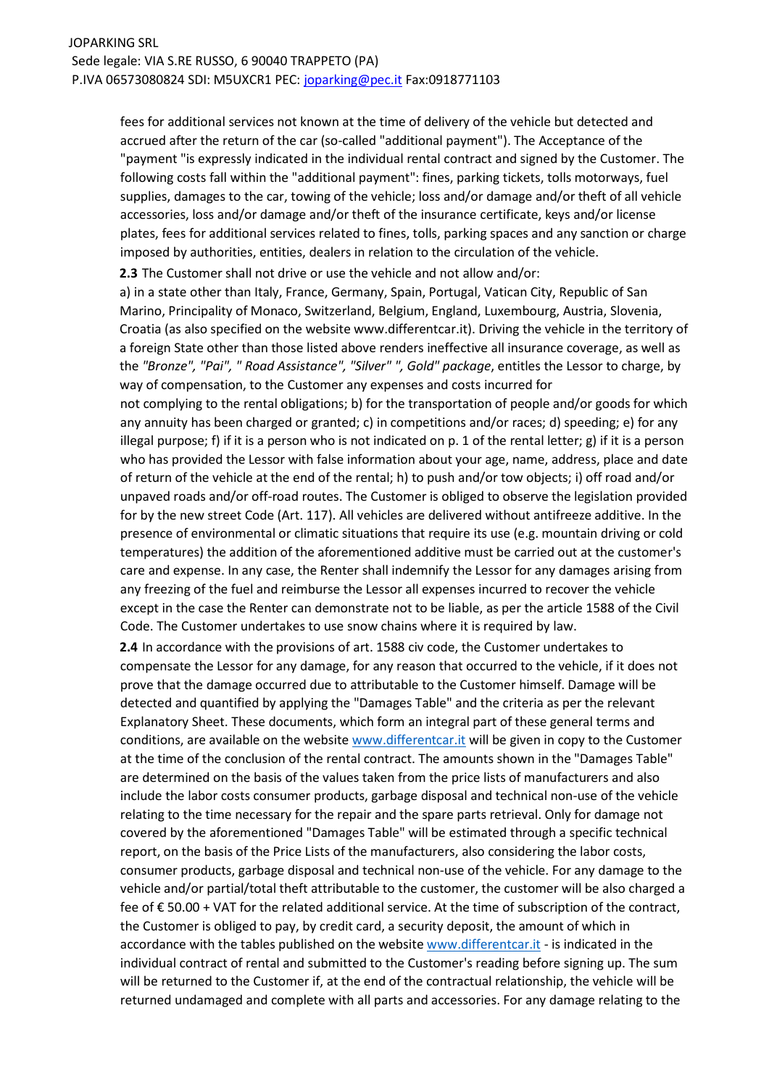fees for additional services not known at the time of delivery of the vehicle but detected and accrued after the return of the car (so-called "additional payment"). The Acceptance of the "payment "is expressly indicated in the individual rental contract and signed by the Customer. The following costs fall within the "additional payment": fines, parking tickets, tolls motorways, fuel supplies, damages to the car, towing of the vehicle; loss and/or damage and/or theft of all vehicle accessories, loss and/or damage and/or theft of the insurance certificate, keys and/or license plates, fees for additional services related to fines, tolls, parking spaces and any sanction or charge imposed by authorities, entities, dealers in relation to the circulation of the vehicle.

**2.3** The Customer shall not drive or use the vehicle and not allow and/or:

a) in a state other than Italy, France, Germany, Spain, Portugal, Vatican City, Republic of San Marino, Principality of Monaco, Switzerland, Belgium, England, Luxembourg, Austria, Slovenia, Croatia (as also specified on the website www.differentcar.it). Driving the vehicle in the territory of a foreign State other than those listed above renders ineffective all insurance coverage, as well as the *"Bronze", "Pai", " Road Assistance", "Silver" ", Gold" package*, entitles the Lessor to charge, by way of compensation, to the Customer any expenses and costs incurred for

not complying to the rental obligations; b) for the transportation of people and/or goods for which any annuity has been charged or granted; c) in competitions and/or races; d) speeding; e) for any illegal purpose; f) if it is a person who is not indicated on p. 1 of the rental letter; g) if it is a person who has provided the Lessor with false information about your age, name, address, place and date of return of the vehicle at the end of the rental; h) to push and/or tow objects; i) off road and/or unpaved roads and/or off-road routes. The Customer is obliged to observe the legislation provided for by the new street Code (Art. 117). All vehicles are delivered without antifreeze additive. In the presence of environmental or climatic situations that require its use (e.g. mountain driving or cold temperatures) the addition of the aforementioned additive must be carried out at the customer's care and expense. In any case, the Renter shall indemnify the Lessor for any damages arising from any freezing of the fuel and reimburse the Lessor all expenses incurred to recover the vehicle except in the case the Renter can demonstrate not to be liable, as per the article 1588 of the Civil Code. The Customer undertakes to use snow chains where it is required by law.

**2.4** In accordance with the provisions of art. 1588 civ code, the Customer undertakes to compensate the Lessor for any damage, for any reason that occurred to the vehicle, if it does not prove that the damage occurred due to attributable to the Customer himself. Damage will be detected and quantified by applying the "Damages Table" and the criteria as per the relevant Explanatory Sheet. These documents, which form an integral part of these general terms and conditions, are available on the website www.differentcar.it will be given in copy to the Customer at the time of the conclusion of the rental contract. The amounts shown in the "Damages Table" are determined on the basis of the values taken from the price lists of manufacturers and also include the labor costs consumer products, garbage disposal and technical non-use of the vehicle relating to the time necessary for the repair and the spare parts retrieval. Only for damage not covered by the aforementioned "Damages Table" will be estimated through a specific technical report, on the basis of the Price Lists of the manufacturers, also considering the labor costs, consumer products, garbage disposal and technical non-use of the vehicle. For any damage to the vehicle and/or partial/total theft attributable to the customer, the customer will be also charged a fee of € 50.00 + VAT for the related additional service. At the time of subscription of the contract, the Customer is obliged to pay, by credit card, a security deposit, the amount of which in accordance with the tables published on the website www.differentcar.it - is indicated in the individual contract of rental and submitted to the Customer's reading before signing up. The sum will be returned to the Customer if, at the end of the contractual relationship, the vehicle will be returned undamaged and complete with all parts and accessories. For any damage relating to the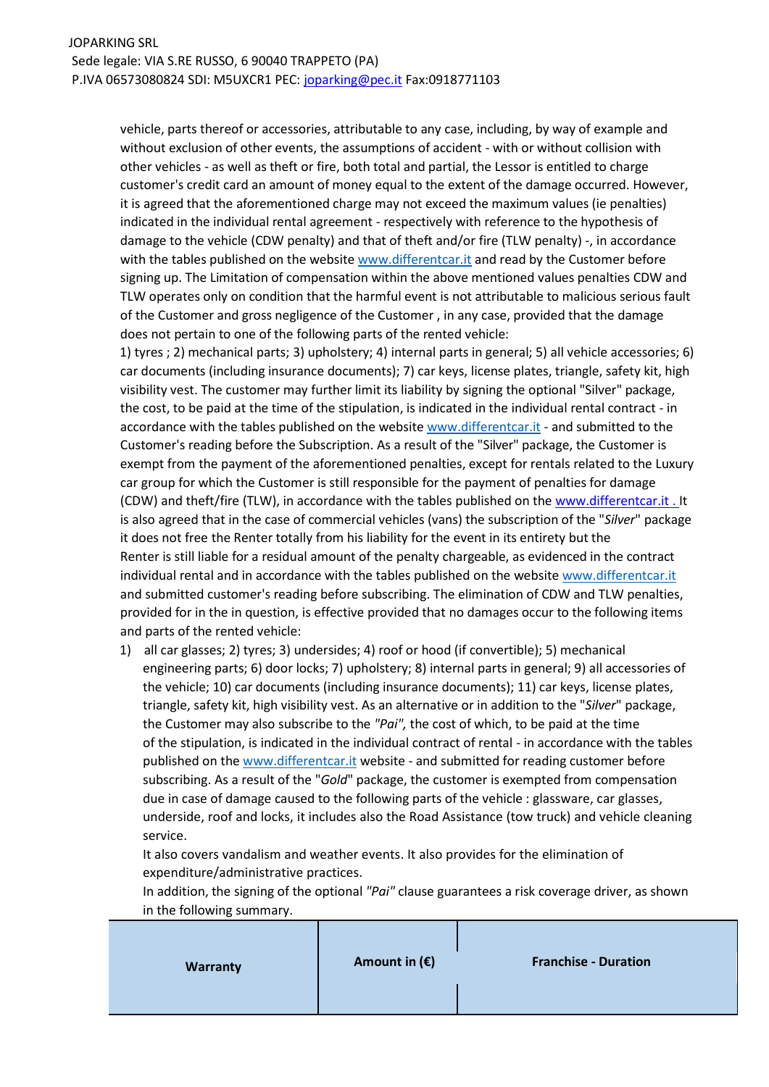vehicle, parts thereof or accessories, attributable to any case, including, by way of example and without exclusion of other events, the assumptions of accident - with or without collision with other vehicles - as well as theft or fire, both total and partial, the Lessor is entitled to charge customer's credit card an amount of money equal to the extent of the damage occurred. However, it is agreed that the aforementioned charge may not exceed the maximum values (ie penalties) indicated in the individual rental agreement - respectively with reference to the hypothesis of damage to the vehicle (CDW penalty) and that of theft and/or fire (TLW penalty) -, in accordance with the tables published on the website www.differentcar.it and read by the Customer before signing up. The Limitation of compensation within the above mentioned values penalties CDW and TLW operates only on condition that the harmful event is not attributable to malicious serious fault of the Customer and gross negligence of the Customer , in any case, provided that the damage does not pertain to one of the following parts of the rented vehicle:

1) tyres ; 2) mechanical parts; 3) upholstery; 4) internal parts in general; 5) all vehicle accessories; 6) car documents (including insurance documents); 7) car keys, license plates, triangle, safety kit, high visibility vest. The customer may further limit its liability by signing the optional "Silver" package, the cost, to be paid at the time of the stipulation, is indicated in the individual rental contract - in accordance with the tables published on the website www.differentcar.it - and submitted to the Customer's reading before the Subscription. As a result of the "Silver" package, the Customer is exempt from the payment of the aforementioned penalties, except for rentals related to the Luxury car group for which the Customer is still responsible for the payment of penalties for damage (CDW) and theft/fire (TLW), in accordance with the tables published on the www.differentcar.it. It is also agreed that in the case of commercial vehicles (vans) the subscription of the "*Silver*" package it does not free the Renter totally from his liability for the event in its entirety but the Renter is still liable for a residual amount of the penalty chargeable, as evidenced in the contract individual rental and in accordance with the tables published on the website www.differentcar.it and submitted customer's reading before subscribing. The elimination of CDW and TLW penalties, provided for in the in question, is effective provided that no damages occur to the following items and parts of the rented vehicle:

1) all car glasses; 2) tyres; 3) undersides; 4) roof or hood (if convertible); 5) mechanical engineering parts; 6) door locks; 7) upholstery; 8) internal parts in general; 9) all accessories of the vehicle; 10) car documents (including insurance documents); 11) car keys, license plates, triangle, safety kit, high visibility vest. As an alternative or in addition to the "*Silver*" package, the Customer may also subscribe to the *"Pai",* the cost of which, to be paid at the time of the stipulation, is indicated in the individual contract of rental - in accordance with the tables published on the www.differentcar.it website - and submitted for reading customer before subscribing. As a result of the "*Gold*" package, the customer is exempted from compensation due in case of damage caused to the following parts of the vehicle : glassware, car glasses, underside, roof and locks, it includes also the Road Assistance (tow truck) and vehicle cleaning service.

It also covers vandalism and weather events. It also provides for the elimination of expenditure/administrative practices.

In addition, the signing of the optional *"Pai"* clause guarantees a risk coverage driver, as shown in the following summary.

| <b>Warranty</b> | Amount in $(E)$ | <b>Franchise - Duration</b> |
|-----------------|-----------------|-----------------------------|
|                 |                 |                             |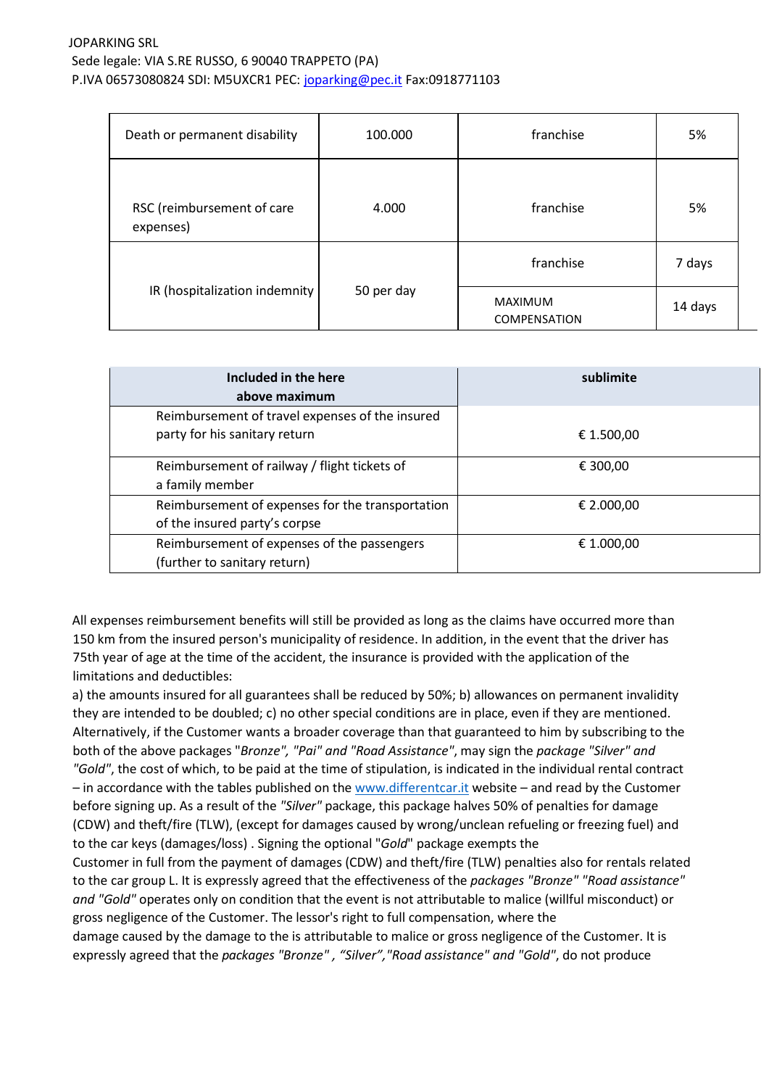| Death or permanent disability           | 100.000    | franchise               | 5%      |
|-----------------------------------------|------------|-------------------------|---------|
| RSC (reimbursement of care<br>expenses) | 4.000      | franchise               | 5%      |
| IR (hospitalization indemnity           | 50 per day | franchise               | 7 days  |
|                                         |            | MAXIMUM<br>COMPENSATION | 14 days |

| Included in the here<br>above maximum            | sublimite  |
|--------------------------------------------------|------------|
| Reimbursement of travel expenses of the insured  |            |
| party for his sanitary return                    | € 1.500,00 |
| Reimbursement of railway / flight tickets of     | € 300,00   |
| a family member                                  |            |
| Reimbursement of expenses for the transportation | € 2.000,00 |
| of the insured party's corpse                    |            |
| Reimbursement of expenses of the passengers      | € 1.000,00 |
| (further to sanitary return)                     |            |

All expenses reimbursement benefits will still be provided as long as the claims have occurred more than 150 km from the insured person's municipality of residence. In addition, in the event that the driver has 75th year of age at the time of the accident, the insurance is provided with the application of the limitations and deductibles:

a) the amounts insured for all guarantees shall be reduced by 50%; b) allowances on permanent invalidity they are intended to be doubled; c) no other special conditions are in place, even if they are mentioned. Alternatively, if the Customer wants a broader coverage than that guaranteed to him by subscribing to the both of the above packages "*Bronze", "Pai" and "Road Assistance"*, may sign the *package "Silver" and "Gold"*, the cost of which, to be paid at the time of stipulation, is indicated in the individual rental contract – in accordance with the tables published on the www.differentcar.it website – and read by the Customer before signing up. As a result of the *"Silver"* package, this package halves 50% of penalties for damage (CDW) and theft/fire (TLW), (except for damages caused by wrong/unclean refueling or freezing fuel) and to the car keys (damages/loss) . Signing the optional "*Gold*" package exempts the Customer in full from the payment of damages (CDW) and theft/fire (TLW) penalties also for rentals related to the car group L. It is expressly agreed that the effectiveness of the *packages "Bronze" "Road assistance" and "Gold"* operates only on condition that the event is not attributable to malice (willful misconduct) or gross negligence of the Customer. The lessor's right to full compensation, where the damage caused by the damage to the is attributable to malice or gross negligence of the Customer. It is

expressly agreed that the *packages "Bronze" , "Silver","Road assistance" and "Gold"*, do not produce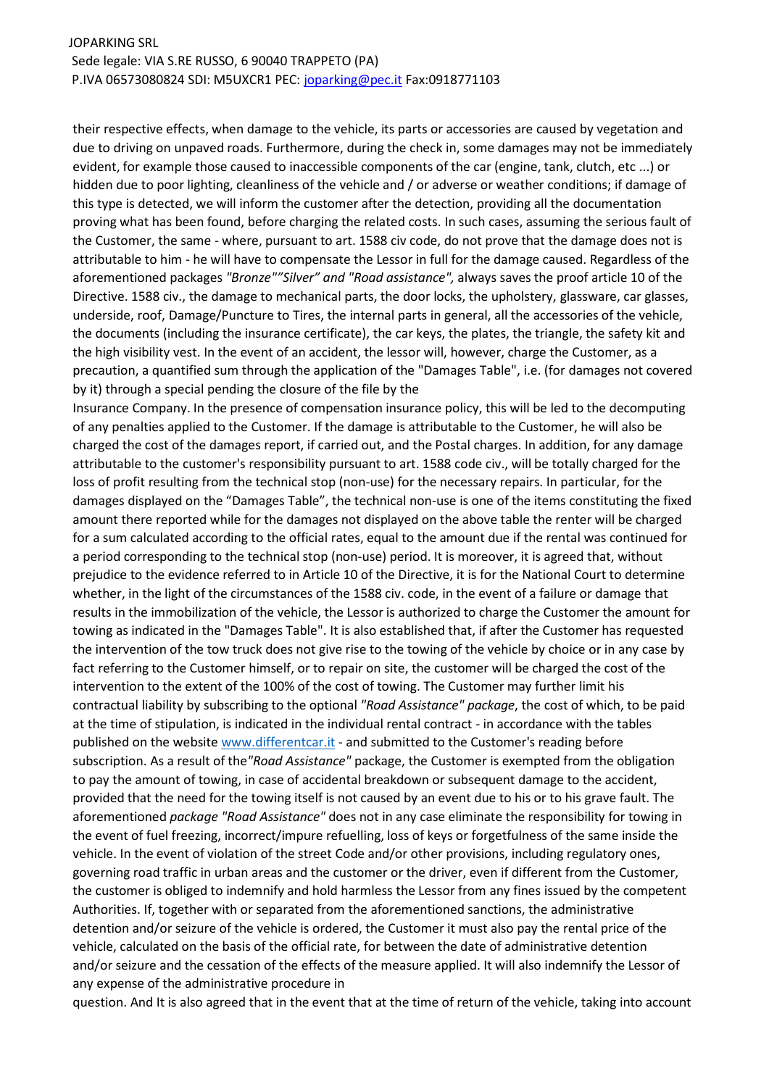their respective effects, when damage to the vehicle, its parts or accessories are caused by vegetation and due to driving on unpaved roads. Furthermore, during the check in, some damages may not be immediately evident, for example those caused to inaccessible components of the car (engine, tank, clutch, etc ...) or hidden due to poor lighting, cleanliness of the vehicle and / or adverse or weather conditions; if damage of this type is detected, we will inform the customer after the detection, providing all the documentation proving what has been found, before charging the related costs. In such cases, assuming the serious fault of the Customer, the same - where, pursuant to art. 1588 civ code, do not prove that the damage does not is attributable to him - he will have to compensate the Lessor in full for the damage caused. Regardless of the aforementioned packages *"Bronze""Silver" and "Road assistance",* always saves the proof article 10 of the Directive. 1588 civ., the damage to mechanical parts, the door locks, the upholstery, glassware, car glasses, underside, roof, Damage/Puncture to Tires, the internal parts in general, all the accessories of the vehicle, the documents (including the insurance certificate), the car keys, the plates, the triangle, the safety kit and the high visibility vest. In the event of an accident, the lessor will, however, charge the Customer, as a precaution, a quantified sum through the application of the "Damages Table", i.e. (for damages not covered by it) through a special pending the closure of the file by the

Insurance Company. In the presence of compensation insurance policy, this will be led to the decomputing of any penalties applied to the Customer. If the damage is attributable to the Customer, he will also be charged the cost of the damages report, if carried out, and the Postal charges. In addition, for any damage attributable to the customer's responsibility pursuant to art. 1588 code civ., will be totally charged for the loss of profit resulting from the technical stop (non-use) for the necessary repairs. In particular, for the damages displayed on the "Damages Table", the technical non-use is one of the items constituting the fixed amount there reported while for the damages not displayed on the above table the renter will be charged for a sum calculated according to the official rates, equal to the amount due if the rental was continued for a period corresponding to the technical stop (non-use) period. It is moreover, it is agreed that, without prejudice to the evidence referred to in Article 10 of the Directive, it is for the National Court to determine whether, in the light of the circumstances of the 1588 civ. code, in the event of a failure or damage that results in the immobilization of the vehicle, the Lessor is authorized to charge the Customer the amount for towing as indicated in the "Damages Table". It is also established that, if after the Customer has requested the intervention of the tow truck does not give rise to the towing of the vehicle by choice or in any case by fact referring to the Customer himself, or to repair on site, the customer will be charged the cost of the intervention to the extent of the 100% of the cost of towing. The Customer may further limit his contractual liability by subscribing to the optional *"Road Assistance" package*, the cost of which, to be paid at the time of stipulation, is indicated in the individual rental contract - in accordance with the tables published on the website www.differentcar.it - and submitted to the Customer's reading before subscription. As a result of the*"Road Assistance"* package, the Customer is exempted from the obligation to pay the amount of towing, in case of accidental breakdown or subsequent damage to the accident, provided that the need for the towing itself is not caused by an event due to his or to his grave fault. The aforementioned *package "Road Assistance"* does not in any case eliminate the responsibility for towing in the event of fuel freezing, incorrect/impure refuelling, loss of keys or forgetfulness of the same inside the vehicle. In the event of violation of the street Code and/or other provisions, including regulatory ones, governing road traffic in urban areas and the customer or the driver, even if different from the Customer, the customer is obliged to indemnify and hold harmless the Lessor from any fines issued by the competent Authorities. If, together with or separated from the aforementioned sanctions, the administrative detention and/or seizure of the vehicle is ordered, the Customer it must also pay the rental price of the vehicle, calculated on the basis of the official rate, for between the date of administrative detention and/or seizure and the cessation of the effects of the measure applied. It will also indemnify the Lessor of any expense of the administrative procedure in

question. And It is also agreed that in the event that at the time of return of the vehicle, taking into account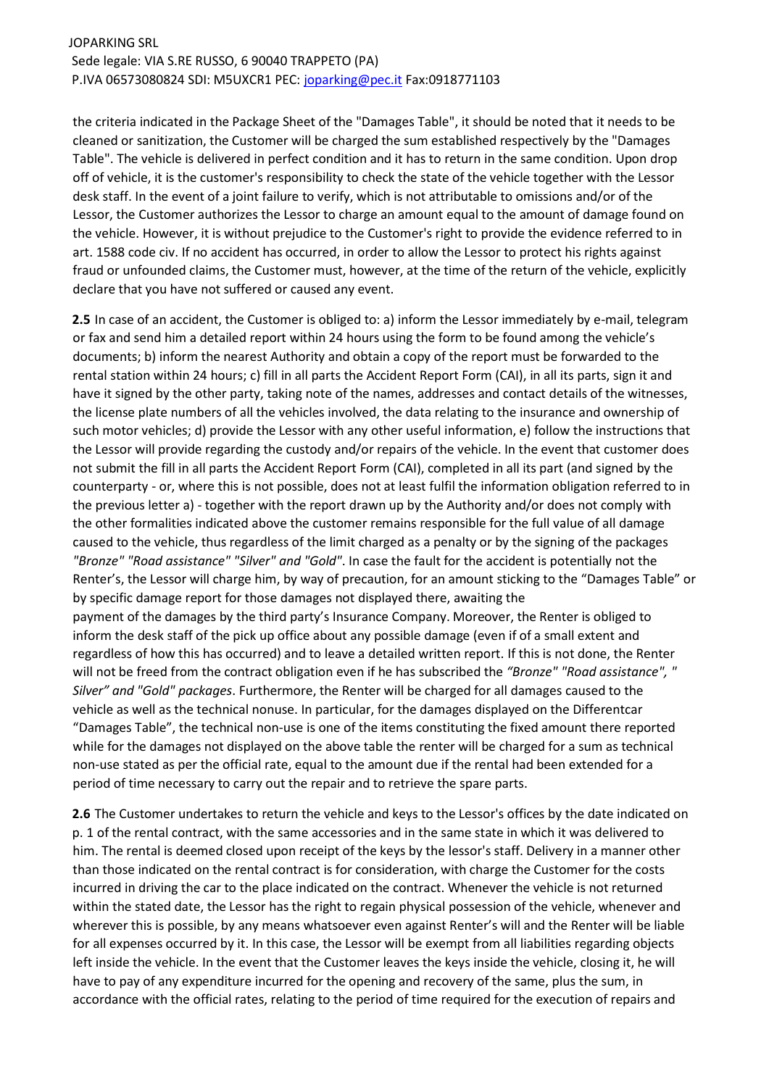the criteria indicated in the Package Sheet of the "Damages Table", it should be noted that it needs to be cleaned or sanitization, the Customer will be charged the sum established respectively by the "Damages Table". The vehicle is delivered in perfect condition and it has to return in the same condition. Upon drop off of vehicle, it is the customer's responsibility to check the state of the vehicle together with the Lessor desk staff. In the event of a joint failure to verify, which is not attributable to omissions and/or of the Lessor, the Customer authorizes the Lessor to charge an amount equal to the amount of damage found on the vehicle. However, it is without prejudice to the Customer's right to provide the evidence referred to in art. 1588 code civ. If no accident has occurred, in order to allow the Lessor to protect his rights against fraud or unfounded claims, the Customer must, however, at the time of the return of the vehicle, explicitly declare that you have not suffered or caused any event.

**2.5** In case of an accident, the Customer is obliged to: a) inform the Lessor immediately by e-mail, telegram or fax and send him a detailed report within 24 hours using the form to be found among the vehicle's documents; b) inform the nearest Authority and obtain a copy of the report must be forwarded to the rental station within 24 hours; c) fill in all parts the Accident Report Form (CAI), in all its parts, sign it and have it signed by the other party, taking note of the names, addresses and contact details of the witnesses, the license plate numbers of all the vehicles involved, the data relating to the insurance and ownership of such motor vehicles; d) provide the Lessor with any other useful information, e) follow the instructions that the Lessor will provide regarding the custody and/or repairs of the vehicle. In the event that customer does not submit the fill in all parts the Accident Report Form (CAI), completed in all its part (and signed by the counterparty - or, where this is not possible, does not at least fulfil the information obligation referred to in the previous letter a) - together with the report drawn up by the Authority and/or does not comply with the other formalities indicated above the customer remains responsible for the full value of all damage caused to the vehicle, thus regardless of the limit charged as a penalty or by the signing of the packages *"Bronze" "Road assistance" "Silver" and "Gold"*. In case the fault for the accident is potentially not the Renter's, the Lessor will charge him, by way of precaution, for an amount sticking to the "Damages Table" or by specific damage report for those damages not displayed there, awaiting the payment of the damages by the third party's Insurance Company. Moreover, the Renter is obliged to inform the desk staff of the pick up office about any possible damage (even if of a small extent and regardless of how this has occurred) and to leave a detailed written report. If this is not done, the Renter will not be freed from the contract obligation even if he has subscribed the *"Bronze" "Road assistance", " Silver" and "Gold" packages*. Furthermore, the Renter will be charged for all damages caused to the vehicle as well as the technical nonuse. In particular, for the damages displayed on the Differentcar "Damages Table", the technical non-use is one of the items constituting the fixed amount there reported while for the damages not displayed on the above table the renter will be charged for a sum as technical non-use stated as per the official rate, equal to the amount due if the rental had been extended for a period of time necessary to carry out the repair and to retrieve the spare parts.

**2.6** The Customer undertakes to return the vehicle and keys to the Lessor's offices by the date indicated on p. 1 of the rental contract, with the same accessories and in the same state in which it was delivered to him. The rental is deemed closed upon receipt of the keys by the lessor's staff. Delivery in a manner other than those indicated on the rental contract is for consideration, with charge the Customer for the costs incurred in driving the car to the place indicated on the contract. Whenever the vehicle is not returned within the stated date, the Lessor has the right to regain physical possession of the vehicle, whenever and wherever this is possible, by any means whatsoever even against Renter's will and the Renter will be liable for all expenses occurred by it. In this case, the Lessor will be exempt from all liabilities regarding objects left inside the vehicle. In the event that the Customer leaves the keys inside the vehicle, closing it, he will have to pay of any expenditure incurred for the opening and recovery of the same, plus the sum, in accordance with the official rates, relating to the period of time required for the execution of repairs and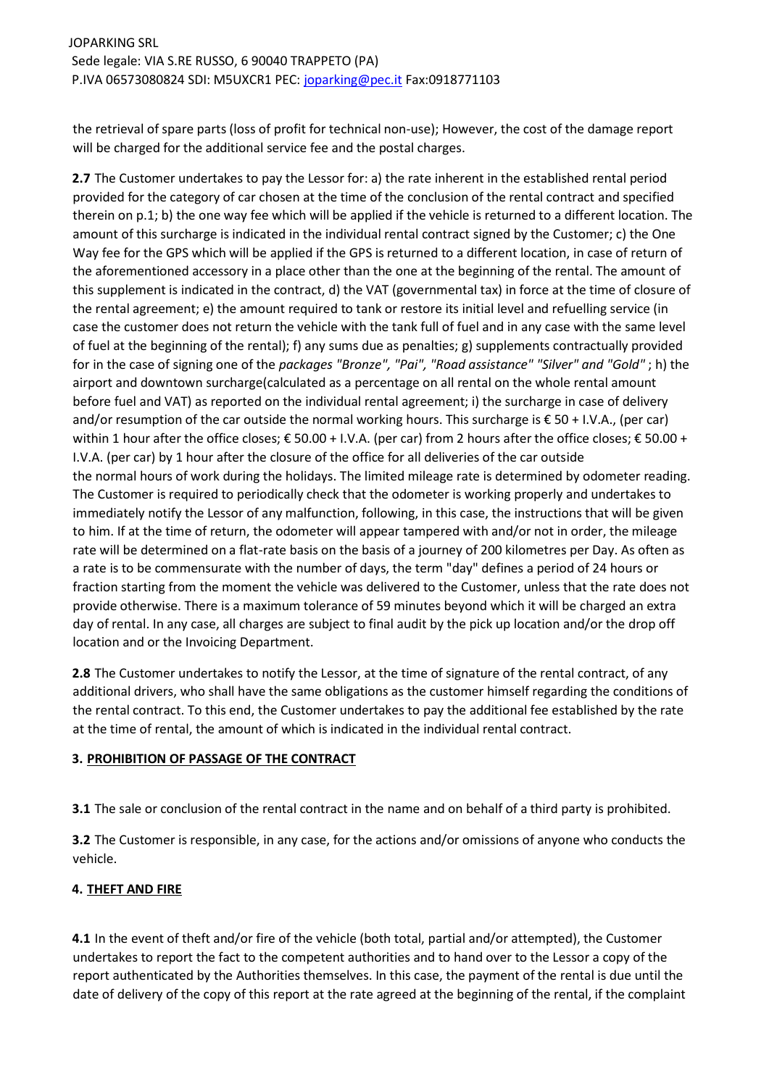the retrieval of spare parts (loss of profit for technical non-use); However, the cost of the damage report will be charged for the additional service fee and the postal charges.

**2.7** The Customer undertakes to pay the Lessor for: a) the rate inherent in the established rental period provided for the category of car chosen at the time of the conclusion of the rental contract and specified therein on p.1; b) the one way fee which will be applied if the vehicle is returned to a different location. The amount of this surcharge is indicated in the individual rental contract signed by the Customer; c) the One Way fee for the GPS which will be applied if the GPS is returned to a different location, in case of return of the aforementioned accessory in a place other than the one at the beginning of the rental. The amount of this supplement is indicated in the contract, d) the VAT (governmental tax) in force at the time of closure of the rental agreement; e) the amount required to tank or restore its initial level and refuelling service (in case the customer does not return the vehicle with the tank full of fuel and in any case with the same level of fuel at the beginning of the rental); f) any sums due as penalties; g) supplements contractually provided for in the case of signing one of the *packages "Bronze", "Pai", "Road assistance" "Silver" and "Gold"* ; h) the airport and downtown surcharge(calculated as a percentage on all rental on the whole rental amount before fuel and VAT) as reported on the individual rental agreement; i) the surcharge in case of delivery and/or resumption of the car outside the normal working hours. This surcharge is € 50 + I.V.A., (per car) within 1 hour after the office closes; € 50.00 + I.V.A. (per car) from 2 hours after the office closes; € 50.00 + I.V.A. (per car) by 1 hour after the closure of the office for all deliveries of the car outside the normal hours of work during the holidays. The limited mileage rate is determined by odometer reading. The Customer is required to periodically check that the odometer is working properly and undertakes to immediately notify the Lessor of any malfunction, following, in this case, the instructions that will be given to him. If at the time of return, the odometer will appear tampered with and/or not in order, the mileage rate will be determined on a flat-rate basis on the basis of a journey of 200 kilometres per Day. As often as a rate is to be commensurate with the number of days, the term "day" defines a period of 24 hours or fraction starting from the moment the vehicle was delivered to the Customer, unless that the rate does not provide otherwise. There is a maximum tolerance of 59 minutes beyond which it will be charged an extra day of rental. In any case, all charges are subject to final audit by the pick up location and/or the drop off location and or the Invoicing Department.

**2.8** The Customer undertakes to notify the Lessor, at the time of signature of the rental contract, of any additional drivers, who shall have the same obligations as the customer himself regarding the conditions of the rental contract. To this end, the Customer undertakes to pay the additional fee established by the rate at the time of rental, the amount of which is indicated in the individual rental contract.

## **3. PROHIBITION OF PASSAGE OF THE CONTRACT**

**3.1** The sale or conclusion of the rental contract in the name and on behalf of a third party is prohibited.

**3.2** The Customer is responsible, in any case, for the actions and/or omissions of anyone who conducts the vehicle.

## **4. THEFT AND FIRE**

**4.1** In the event of theft and/or fire of the vehicle (both total, partial and/or attempted), the Customer undertakes to report the fact to the competent authorities and to hand over to the Lessor a copy of the report authenticated by the Authorities themselves. In this case, the payment of the rental is due until the date of delivery of the copy of this report at the rate agreed at the beginning of the rental, if the complaint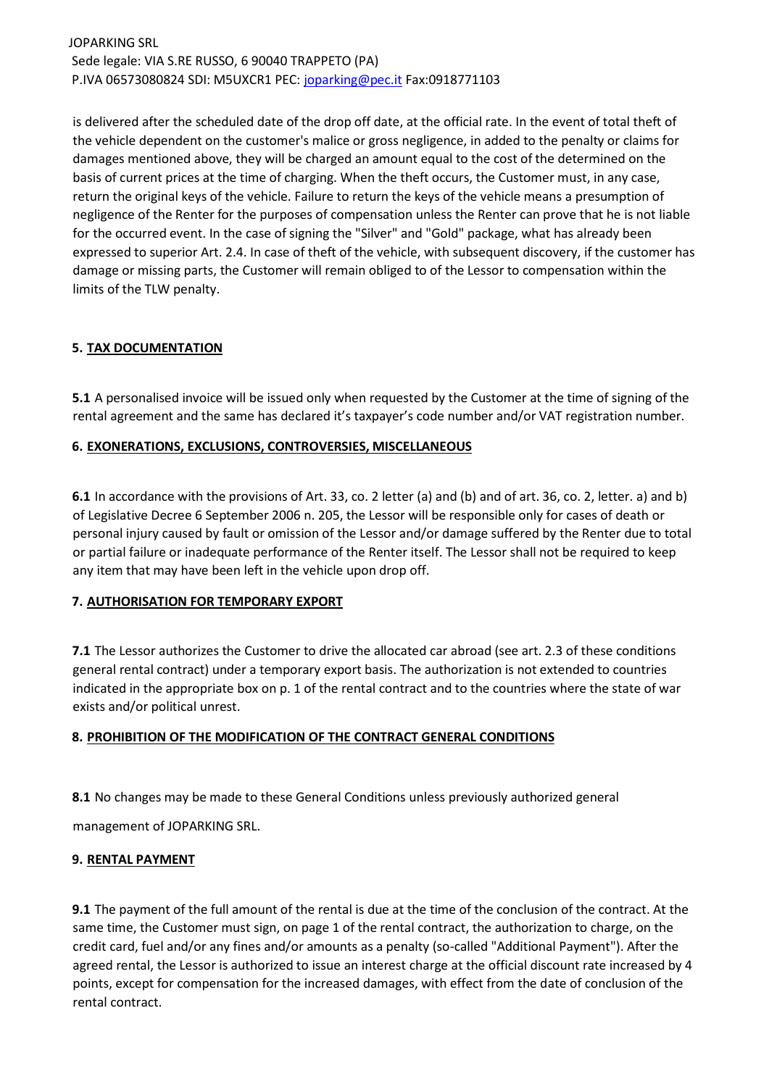is delivered after the scheduled date of the drop off date, at the official rate. In the event of total theft of the vehicle dependent on the customer's malice or gross negligence, in added to the penalty or claims for damages mentioned above, they will be charged an amount equal to the cost of the determined on the basis of current prices at the time of charging. When the theft occurs, the Customer must, in any case, return the original keys of the vehicle. Failure to return the keys of the vehicle means a presumption of negligence of the Renter for the purposes of compensation unless the Renter can prove that he is not liable for the occurred event. In the case of signing the "Silver" and "Gold" package, what has already been expressed to superior Art. 2.4. In case of theft of the vehicle, with subsequent discovery, if the customer has damage or missing parts, the Customer will remain obliged to of the Lessor to compensation within the limits of the TLW penalty.

# **5. TAX DOCUMENTATION**

**5.1** A personalised invoice will be issued only when requested by the Customer at the time of signing of the rental agreement and the same has declared it's taxpayer's code number and/or VAT registration number.

## **6. EXONERATIONS, EXCLUSIONS, CONTROVERSIES, MISCELLANEOUS**

**6.1** In accordance with the provisions of Art. 33, co. 2 letter (a) and (b) and of art. 36, co. 2, letter. a) and b) of Legislative Decree 6 September 2006 n. 205, the Lessor will be responsible only for cases of death or personal injury caused by fault or omission of the Lessor and/or damage suffered by the Renter due to total or partial failure or inadequate performance of the Renter itself. The Lessor shall not be required to keep any item that may have been left in the vehicle upon drop off.

## **7. AUTHORISATION FOR TEMPORARY EXPORT**

**7.1** The Lessor authorizes the Customer to drive the allocated car abroad (see art. 2.3 of these conditions general rental contract) under a temporary export basis. The authorization is not extended to countries indicated in the appropriate box on p. 1 of the rental contract and to the countries where the state of war exists and/or political unrest.

## **8. PROHIBITION OF THE MODIFICATION OF THE CONTRACT GENERAL CONDITIONS**

**8.1** No changes may be made to these General Conditions unless previously authorized general

management of JOPARKING SRL.

## **9. RENTAL PAYMENT**

**9.1** The payment of the full amount of the rental is due at the time of the conclusion of the contract. At the same time, the Customer must sign, on page 1 of the rental contract, the authorization to charge, on the credit card, fuel and/or any fines and/or amounts as a penalty (so-called "Additional Payment"). After the agreed rental, the Lessor is authorized to issue an interest charge at the official discount rate increased by 4 points, except for compensation for the increased damages, with effect from the date of conclusion of the rental contract.